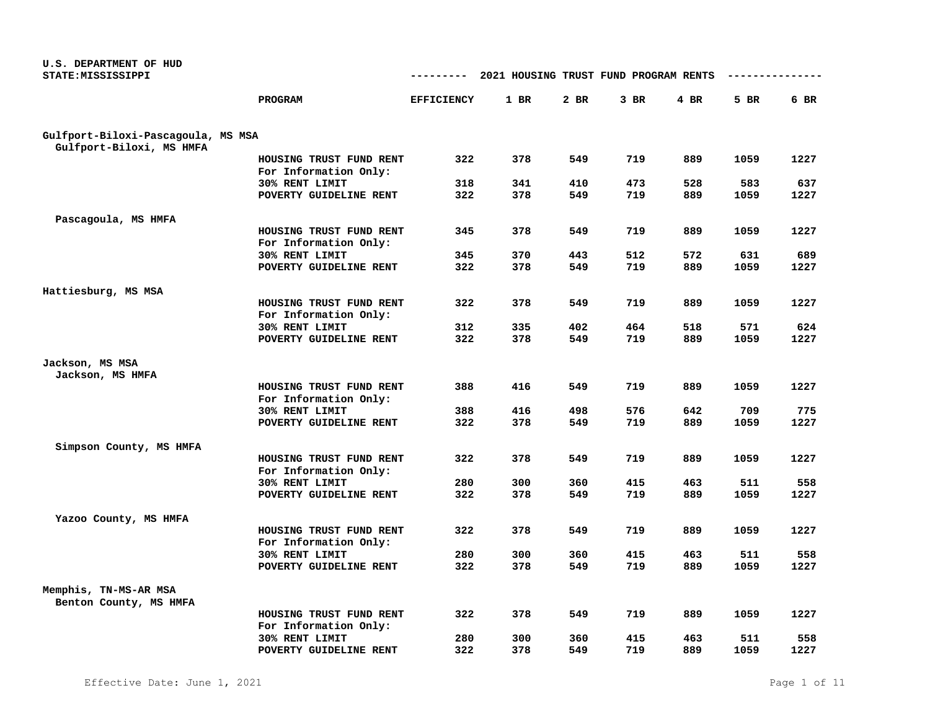| U.S. DEPARTMENT OF HUD<br>STATE: MISSISSIPPI |                                          | ---------         | 2021 HOUSING TRUST FUND PROGRAM RENTS |            |            |            |             |             |
|----------------------------------------------|------------------------------------------|-------------------|---------------------------------------|------------|------------|------------|-------------|-------------|
|                                              |                                          |                   |                                       |            |            |            |             |             |
|                                              | PROGRAM                                  | <b>EFFICIENCY</b> | 1 BR                                  | 2 BR       | $3$ BR     | $4$ BR     | 5 BR        | 6 BR        |
| Gulfport-Biloxi-Pascagoula, MS MSA           |                                          |                   |                                       |            |            |            |             |             |
| Gulfport-Biloxi, MS HMFA                     |                                          |                   |                                       |            |            |            |             |             |
|                                              | HOUSING TRUST FUND RENT                  | 322               | 378                                   | 549        | 719        | 889        | 1059        | 1227        |
|                                              | For Information Only:                    |                   |                                       |            |            |            |             |             |
|                                              | 30% RENT LIMIT                           | 318               | 341                                   | 410        | 473        | 528        | 583         | 637         |
|                                              | POVERTY GUIDELINE RENT                   | 322               | 378                                   | 549        | 719        | 889        | 1059        | 1227        |
| Pascagoula, MS HMFA                          |                                          |                   |                                       |            |            |            |             |             |
|                                              | HOUSING TRUST FUND RENT                  | 345               | 378                                   | 549        | 719        | 889        | 1059        | 1227        |
|                                              | For Information Only:                    |                   |                                       |            |            |            |             |             |
|                                              | 30% RENT LIMIT                           | 345               | 370                                   | 443        | 512        | 572        | 631         | 689         |
|                                              | POVERTY GUIDELINE RENT                   | 322               | 378                                   | 549        | 719        | 889        | 1059        | 1227        |
|                                              |                                          |                   |                                       |            |            |            |             |             |
| Hattiesburg, MS MSA                          |                                          |                   |                                       |            |            |            |             |             |
|                                              | HOUSING TRUST FUND RENT                  | 322               | 378                                   | 549        | 719        | 889        | 1059        | 1227        |
|                                              | For Information Only:                    |                   |                                       |            |            |            |             |             |
|                                              | 30% RENT LIMIT<br>POVERTY GUIDELINE RENT | 312<br>322        | 335<br>378                            | 402<br>549 | 464<br>719 | 518<br>889 | 571<br>1059 | 624<br>1227 |
|                                              |                                          |                   |                                       |            |            |            |             |             |
| Jackson, MS MSA                              |                                          |                   |                                       |            |            |            |             |             |
| Jackson, MS HMFA                             |                                          |                   |                                       |            |            |            |             |             |
|                                              | HOUSING TRUST FUND RENT                  | 388               | 416                                   | 549        | 719        | 889        | 1059        | 1227        |
|                                              | For Information Only:                    |                   |                                       |            |            |            |             |             |
|                                              | 30% RENT LIMIT                           | 388               | 416                                   | 498        | 576        | 642        | 709         | 775         |
|                                              | POVERTY GUIDELINE RENT                   | 322               | 378                                   | 549        | 719        | 889        | 1059        | 1227        |
|                                              |                                          |                   |                                       |            |            |            |             |             |
| Simpson County, MS HMFA                      | HOUSING TRUST FUND RENT                  | 322               | 378                                   | 549        | 719        | 889        | 1059        | 1227        |
|                                              | For Information Only:                    |                   |                                       |            |            |            |             |             |
|                                              | 30% RENT LIMIT                           | 280               | 300                                   | 360        | 415        | 463        | 511         | 558         |
|                                              | POVERTY GUIDELINE RENT                   | 322               | 378                                   | 549        | 719        | 889        | 1059        | 1227        |
|                                              |                                          |                   |                                       |            |            |            |             |             |
| Yazoo County, MS HMFA                        |                                          |                   |                                       |            |            |            |             |             |
|                                              | HOUSING TRUST FUND RENT                  | 322               | 378                                   | 549        | 719        | 889        | 1059        | 1227        |
|                                              | For Information Only:                    |                   |                                       |            |            |            |             |             |
|                                              | 30% RENT LIMIT                           | 280               | 300                                   | 360        | 415        | 463        | 511         | 558         |
|                                              | POVERTY GUIDELINE RENT                   | 322               | 378                                   | 549        | 719        | 889        | 1059        | 1227        |
| Memphis, TN-MS-AR MSA                        |                                          |                   |                                       |            |            |            |             |             |
| Benton County, MS HMFA                       |                                          |                   |                                       |            |            |            |             |             |
|                                              | HOUSING TRUST FUND RENT                  | 322               | 378                                   | 549        | 719        | 889        | 1059        | 1227        |
|                                              | For Information Only:                    |                   |                                       |            |            |            |             |             |
|                                              | 30% RENT LIMIT                           | 280               | 300                                   | 360        | 415        | 463        | 511         | 558         |
|                                              | POVERTY GUIDELINE RENT                   | 322               | 378                                   | 549        | 719        | 889        | 1059        | 1227        |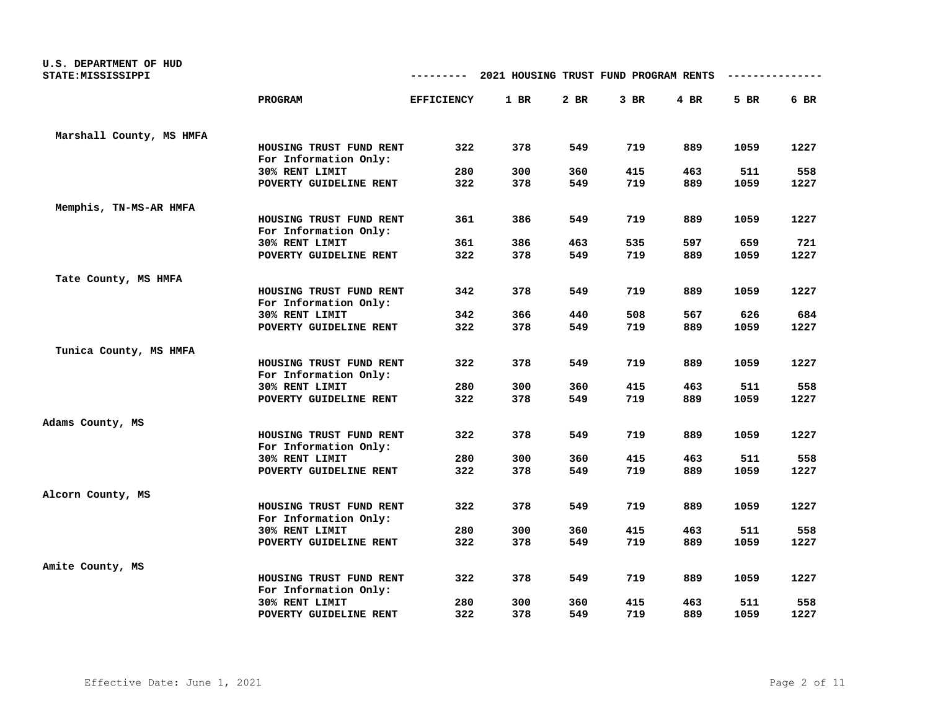| U.S. DEPARTMENT OF HUD<br>STATE: MISSISSIPPI |                                                  |                   | 2021 HOUSING TRUST FUND PROGRAM RENTS |      |      |      |      |      |
|----------------------------------------------|--------------------------------------------------|-------------------|---------------------------------------|------|------|------|------|------|
|                                              | <b>PROGRAM</b>                                   | <b>EFFICIENCY</b> | 1 BR                                  | 2 BR | 3 BR | 4 BR | 5 BR | 6 BR |
| Marshall County, MS HMFA                     |                                                  |                   |                                       |      |      |      |      |      |
|                                              | HOUSING TRUST FUND RENT<br>For Information Only: | 322               | 378                                   | 549  | 719  | 889  | 1059 | 1227 |
|                                              | 30% RENT LIMIT                                   | 280               | 300                                   | 360  | 415  | 463  | 511  | 558  |
|                                              | POVERTY GUIDELINE RENT                           | 322               | 378                                   | 549  | 719  | 889  | 1059 | 1227 |
| Memphis, TN-MS-AR HMFA                       |                                                  |                   |                                       |      |      |      |      |      |
|                                              | HOUSING TRUST FUND RENT<br>For Information Only: | 361               | 386                                   | 549  | 719  | 889  | 1059 | 1227 |
|                                              | 30% RENT LIMIT                                   | 361               | 386                                   | 463  | 535  | 597  | 659  | 721  |
|                                              | POVERTY GUIDELINE RENT                           | 322               | 378                                   | 549  | 719  | 889  | 1059 | 1227 |
| Tate County, MS HMFA                         |                                                  |                   |                                       |      |      |      |      |      |
|                                              | HOUSING TRUST FUND RENT<br>For Information Only: | 342               | 378                                   | 549  | 719  | 889  | 1059 | 1227 |
|                                              | 30% RENT LIMIT                                   | 342               | 366                                   | 440  | 508  | 567  | 626  | 684  |
|                                              | POVERTY GUIDELINE RENT                           | 322               | 378                                   | 549  | 719  | 889  | 1059 | 1227 |
| Tunica County, MS HMFA                       |                                                  |                   |                                       |      |      |      |      |      |
|                                              | HOUSING TRUST FUND RENT<br>For Information Only: | 322               | 378                                   | 549  | 719  | 889  | 1059 | 1227 |
|                                              | 30% RENT LIMIT                                   | 280               | 300                                   | 360  | 415  | 463  | 511  | 558  |
|                                              | POVERTY GUIDELINE RENT                           | 322               | 378                                   | 549  | 719  | 889  | 1059 | 1227 |
| Adams County, MS                             |                                                  |                   |                                       |      |      |      |      |      |
|                                              | HOUSING TRUST FUND RENT<br>For Information Only: | 322               | 378                                   | 549  | 719  | 889  | 1059 | 1227 |
|                                              | 30% RENT LIMIT                                   | 280               | 300                                   | 360  | 415  | 463  | 511  | 558  |
|                                              | POVERTY GUIDELINE RENT                           | 322               | 378                                   | 549  | 719  | 889  | 1059 | 1227 |
| Alcorn County, MS                            |                                                  |                   |                                       |      |      |      |      |      |
|                                              | HOUSING TRUST FUND RENT<br>For Information Only: | 322               | 378                                   | 549  | 719  | 889  | 1059 | 1227 |
|                                              | 30% RENT LIMIT                                   | 280               | 300                                   | 360  | 415  | 463  | 511  | 558  |
|                                              | POVERTY GUIDELINE RENT                           | 322               | 378                                   | 549  | 719  | 889  | 1059 | 1227 |
| Amite County, MS                             |                                                  |                   |                                       |      |      |      |      |      |
|                                              | HOUSING TRUST FUND RENT<br>For Information Only: | 322               | 378                                   | 549  | 719  | 889  | 1059 | 1227 |
|                                              | 30% RENT LIMIT                                   | 280               | 300                                   | 360  | 415  | 463  | 511  | 558  |
|                                              | POVERTY GUIDELINE RENT                           | 322               | 378                                   | 549  | 719  | 889  | 1059 | 1227 |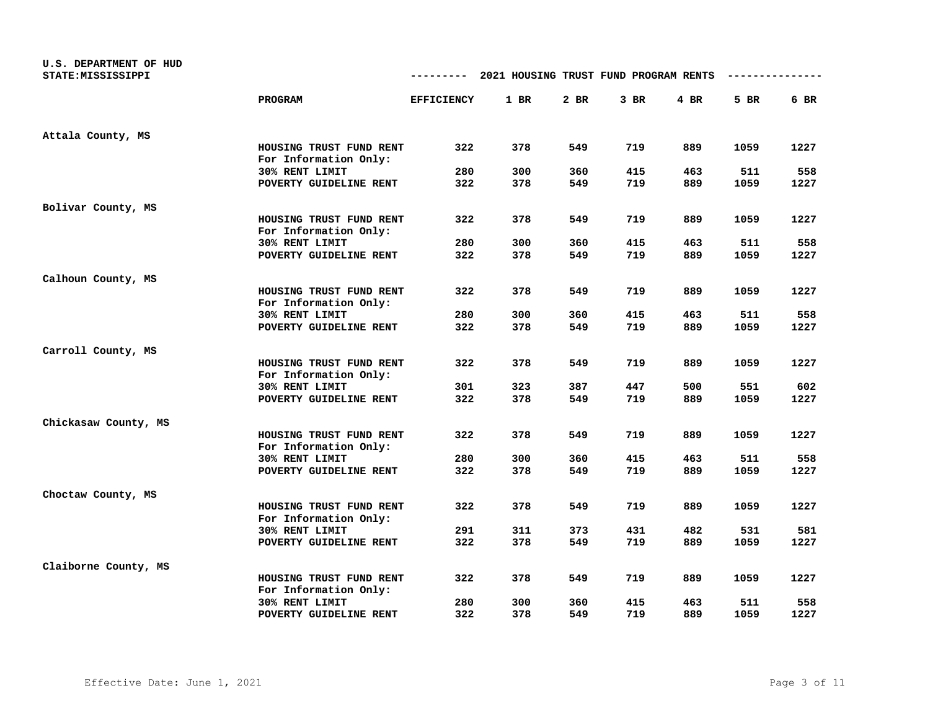| U.S. DEPARTMENT OF HUD<br>STATE: MISSISSIPPI |                                                  |                   | 2021 HOUSING TRUST FUND PROGRAM RENTS |      |        |        |      |        |
|----------------------------------------------|--------------------------------------------------|-------------------|---------------------------------------|------|--------|--------|------|--------|
|                                              | PROGRAM                                          | <b>EFFICIENCY</b> | 1 BR                                  | 2 BR | $3$ BR | $4$ BR | 5 BR | $6$ BR |
| Attala County, MS                            |                                                  |                   |                                       |      |        |        |      |        |
|                                              | HOUSING TRUST FUND RENT<br>For Information Only: | 322               | 378                                   | 549  | 719    | 889    | 1059 | 1227   |
|                                              | 30% RENT LIMIT                                   | 280               | 300                                   | 360  | 415    | 463    | 511  | 558    |
|                                              | POVERTY GUIDELINE RENT                           | 322               | 378                                   | 549  | 719    | 889    | 1059 | 1227   |
| Bolivar County, MS                           |                                                  |                   |                                       |      |        |        |      |        |
|                                              | HOUSING TRUST FUND RENT<br>For Information Only: | 322               | 378                                   | 549  | 719    | 889    | 1059 | 1227   |
|                                              | 30% RENT LIMIT                                   | 280               | 300                                   | 360  | 415    | 463    | 511  | 558    |
|                                              | POVERTY GUIDELINE RENT                           | 322               | 378                                   | 549  | 719    | 889    | 1059 | 1227   |
| Calhoun County, MS                           |                                                  |                   |                                       |      |        |        |      |        |
|                                              | HOUSING TRUST FUND RENT<br>For Information Only: | 322               | 378                                   | 549  | 719    | 889    | 1059 | 1227   |
|                                              | 30% RENT LIMIT                                   | 280               | 300                                   | 360  | 415    | 463    | 511  | 558    |
|                                              | POVERTY GUIDELINE RENT                           | 322               | 378                                   | 549  | 719    | 889    | 1059 | 1227   |
| Carroll County, MS                           |                                                  |                   |                                       |      |        |        |      |        |
|                                              | HOUSING TRUST FUND RENT<br>For Information Only: | 322               | 378                                   | 549  | 719    | 889    | 1059 | 1227   |
|                                              | 30% RENT LIMIT                                   | 301               | 323                                   | 387  | 447    | 500    | 551  | 602    |
|                                              | POVERTY GUIDELINE RENT                           | 322               | 378                                   | 549  | 719    | 889    | 1059 | 1227   |
| Chickasaw County, MS                         |                                                  |                   |                                       |      |        |        |      |        |
|                                              | HOUSING TRUST FUND RENT<br>For Information Only: | 322               | 378                                   | 549  | 719    | 889    | 1059 | 1227   |
|                                              | 30% RENT LIMIT                                   | 280               | 300                                   | 360  | 415    | 463    | 511  | 558    |
|                                              | POVERTY GUIDELINE RENT                           | 322               | 378                                   | 549  | 719    | 889    | 1059 | 1227   |
| Choctaw County, MS                           |                                                  |                   |                                       |      |        |        |      |        |
|                                              | HOUSING TRUST FUND RENT<br>For Information Only: | 322               | 378                                   | 549  | 719    | 889    | 1059 | 1227   |
|                                              | 30% RENT LIMIT                                   | 291               | 311                                   | 373  | 431    | 482    | 531  | 581    |
|                                              | POVERTY GUIDELINE RENT                           | 322               | 378                                   | 549  | 719    | 889    | 1059 | 1227   |
| Claiborne County, MS                         |                                                  |                   |                                       |      |        |        |      |        |
|                                              | HOUSING TRUST FUND RENT<br>For Information Only: | 322               | 378                                   | 549  | 719    | 889    | 1059 | 1227   |
|                                              | 30% RENT LIMIT                                   | 280               | 300                                   | 360  | 415    | 463    | 511  | 558    |
|                                              | POVERTY GUIDELINE RENT                           | 322               | 378                                   | 549  | 719    | 889    | 1059 | 1227   |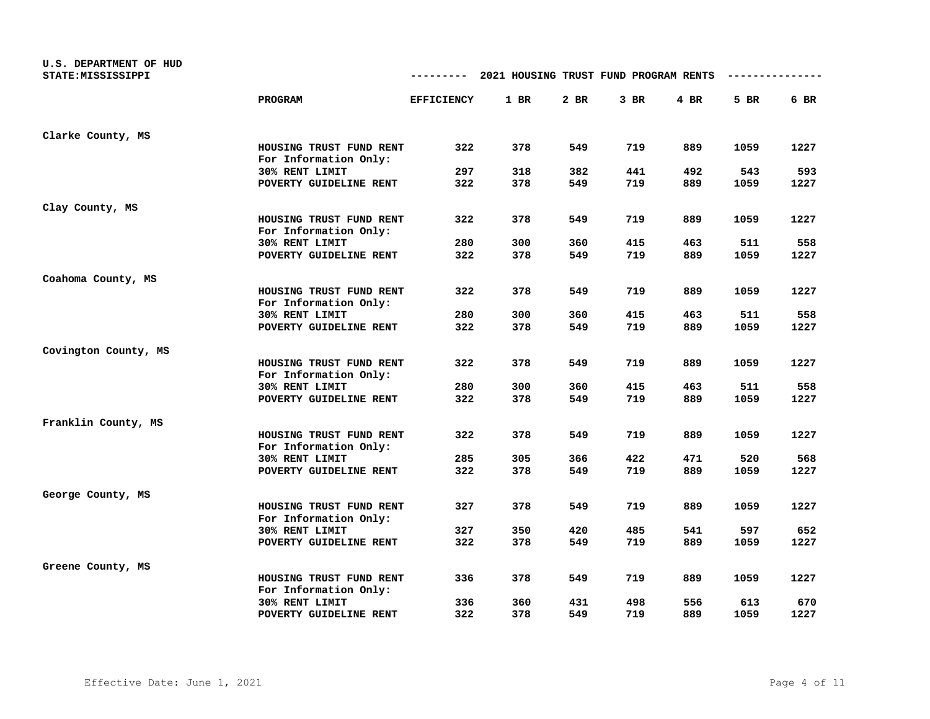| U.S. DEPARTMENT OF HUD<br>STATE: MISSISSIPPI |                                                  | ---------         | 2021 HOUSING TRUST FUND PROGRAM RENTS |      |        |        |      |      |
|----------------------------------------------|--------------------------------------------------|-------------------|---------------------------------------|------|--------|--------|------|------|
|                                              | PROGRAM                                          | <b>EFFICIENCY</b> | 1 BR                                  | 2 BR | $3$ BR | $4$ BR | 5 BR | 6 BR |
| Clarke County, MS                            |                                                  |                   |                                       |      |        |        |      |      |
|                                              | HOUSING TRUST FUND RENT<br>For Information Only: | 322               | 378                                   | 549  | 719    | 889    | 1059 | 1227 |
|                                              | 30% RENT LIMIT                                   | 297               | 318                                   | 382  | 441    | 492    | 543  | 593  |
|                                              | POVERTY GUIDELINE RENT                           | 322               | 378                                   | 549  | 719    | 889    | 1059 | 1227 |
| Clay County, MS                              |                                                  |                   |                                       |      |        |        |      |      |
|                                              | HOUSING TRUST FUND RENT<br>For Information Only: | 322               | 378                                   | 549  | 719    | 889    | 1059 | 1227 |
|                                              | 30% RENT LIMIT                                   | 280               | 300                                   | 360  | 415    | 463    | 511  | 558  |
|                                              | POVERTY GUIDELINE RENT                           | 322               | 378                                   | 549  | 719    | 889    | 1059 | 1227 |
| Coahoma County, MS                           |                                                  |                   |                                       |      |        |        |      |      |
|                                              | HOUSING TRUST FUND RENT<br>For Information Only: | 322               | 378                                   | 549  | 719    | 889    | 1059 | 1227 |
|                                              | 30% RENT LIMIT                                   | 280               | 300                                   | 360  | 415    | 463    | 511  | 558  |
|                                              | POVERTY GUIDELINE RENT                           | 322               | 378                                   | 549  | 719    | 889    | 1059 | 1227 |
| Covington County, MS                         |                                                  |                   |                                       |      |        |        |      |      |
|                                              | HOUSING TRUST FUND RENT<br>For Information Only: | 322               | 378                                   | 549  | 719    | 889    | 1059 | 1227 |
|                                              | 30% RENT LIMIT                                   | 280               | 300                                   | 360  | 415    | 463    | 511  | 558  |
|                                              | POVERTY GUIDELINE RENT                           | 322               | 378                                   | 549  | 719    | 889    | 1059 | 1227 |
| Franklin County, MS                          |                                                  |                   |                                       |      |        |        |      |      |
|                                              | HOUSING TRUST FUND RENT<br>For Information Only: | 322               | 378                                   | 549  | 719    | 889    | 1059 | 1227 |
|                                              | 30% RENT LIMIT                                   | 285               | 305                                   | 366  | 422    | 471    | 520  | 568  |
|                                              | POVERTY GUIDELINE RENT                           | 322               | 378                                   | 549  | 719    | 889    | 1059 | 1227 |
| George County, MS                            |                                                  |                   |                                       |      |        |        |      |      |
|                                              | HOUSING TRUST FUND RENT<br>For Information Only: | 327               | 378                                   | 549  | 719    | 889    | 1059 | 1227 |
|                                              | 30% RENT LIMIT                                   | 327               | 350                                   | 420  | 485    | 541    | 597  | 652  |
|                                              | POVERTY GUIDELINE RENT                           | 322               | 378                                   | 549  | 719    | 889    | 1059 | 1227 |
| Greene County, MS                            |                                                  |                   |                                       |      |        |        |      |      |
|                                              | HOUSING TRUST FUND RENT<br>For Information Only: | 336               | 378                                   | 549  | 719    | 889    | 1059 | 1227 |
|                                              | 30% RENT LIMIT                                   | 336               | 360                                   | 431  | 498    | 556    | 613  | 670  |
|                                              | POVERTY GUIDELINE RENT                           | 322               | 378                                   | 549  | 719    | 889    | 1059 | 1227 |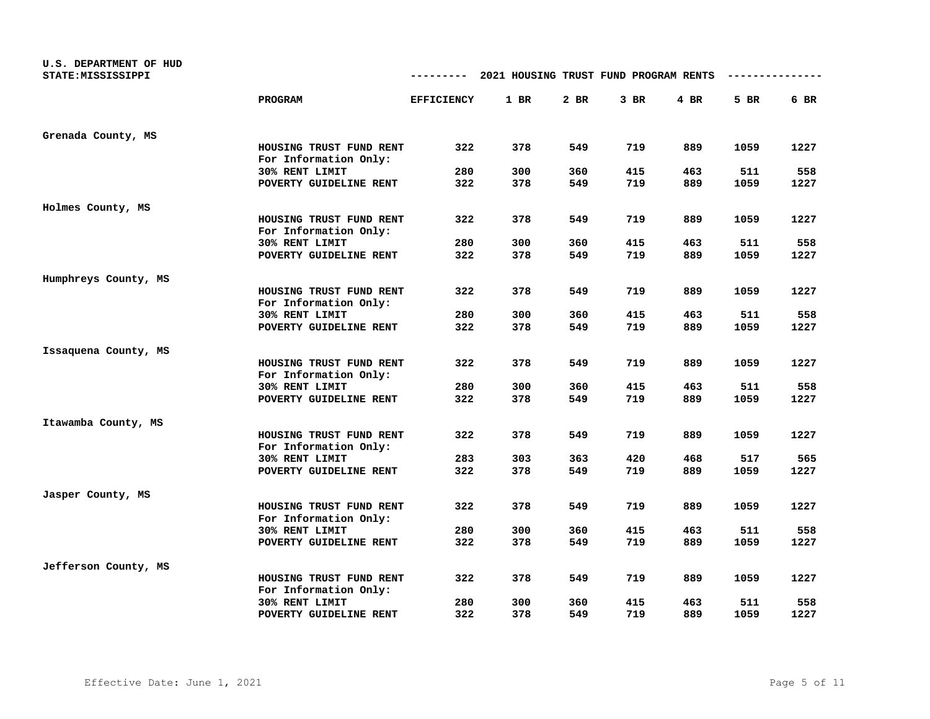| U.S. DEPARTMENT OF HUD<br>STATE: MISSISSIPPI |                                                  | ---------         | 2021 HOUSING TRUST FUND PROGRAM RENTS |      |        |        |      |      |
|----------------------------------------------|--------------------------------------------------|-------------------|---------------------------------------|------|--------|--------|------|------|
|                                              | PROGRAM                                          | <b>EFFICIENCY</b> | 1 BR                                  | 2 BR | $3$ BR | $4$ BR | 5 BR | 6 BR |
| Grenada County, MS                           |                                                  |                   |                                       |      |        |        |      |      |
|                                              | HOUSING TRUST FUND RENT<br>For Information Only: | 322               | 378                                   | 549  | 719    | 889    | 1059 | 1227 |
|                                              | 30% RENT LIMIT                                   | 280               | 300                                   | 360  | 415    | 463    | 511  | 558  |
|                                              | POVERTY GUIDELINE RENT                           | 322               | 378                                   | 549  | 719    | 889    | 1059 | 1227 |
| Holmes County, MS                            |                                                  |                   |                                       |      |        |        |      |      |
|                                              | HOUSING TRUST FUND RENT<br>For Information Only: | 322               | 378                                   | 549  | 719    | 889    | 1059 | 1227 |
|                                              | 30% RENT LIMIT                                   | 280               | 300                                   | 360  | 415    | 463    | 511  | 558  |
|                                              | POVERTY GUIDELINE RENT                           | 322               | 378                                   | 549  | 719    | 889    | 1059 | 1227 |
| Humphreys County, MS                         |                                                  |                   |                                       |      |        |        |      |      |
|                                              | HOUSING TRUST FUND RENT<br>For Information Only: | 322               | 378                                   | 549  | 719    | 889    | 1059 | 1227 |
|                                              | 30% RENT LIMIT                                   | 280               | 300                                   | 360  | 415    | 463    | 511  | 558  |
|                                              | POVERTY GUIDELINE RENT                           | 322               | 378                                   | 549  | 719    | 889    | 1059 | 1227 |
| Issaquena County, MS                         |                                                  |                   |                                       |      |        |        |      |      |
|                                              | HOUSING TRUST FUND RENT<br>For Information Only: | 322               | 378                                   | 549  | 719    | 889    | 1059 | 1227 |
|                                              | 30% RENT LIMIT                                   | 280               | 300                                   | 360  | 415    | 463    | 511  | 558  |
|                                              | POVERTY GUIDELINE RENT                           | 322               | 378                                   | 549  | 719    | 889    | 1059 | 1227 |
| Itawamba County, MS                          |                                                  |                   |                                       |      |        |        |      |      |
|                                              | HOUSING TRUST FUND RENT<br>For Information Only: | 322               | 378                                   | 549  | 719    | 889    | 1059 | 1227 |
|                                              | 30% RENT LIMIT                                   | 283               | 303                                   | 363  | 420    | 468    | 517  | 565  |
|                                              | POVERTY GUIDELINE RENT                           | 322               | 378                                   | 549  | 719    | 889    | 1059 | 1227 |
| Jasper County, MS                            |                                                  |                   |                                       |      |        |        |      |      |
|                                              | HOUSING TRUST FUND RENT<br>For Information Only: | 322               | 378                                   | 549  | 719    | 889    | 1059 | 1227 |
|                                              | 30% RENT LIMIT                                   | 280               | 300                                   | 360  | 415    | 463    | 511  | 558  |
|                                              | POVERTY GUIDELINE RENT                           | 322               | 378                                   | 549  | 719    | 889    | 1059 | 1227 |
| Jefferson County, MS                         |                                                  |                   |                                       |      |        |        |      |      |
|                                              | HOUSING TRUST FUND RENT<br>For Information Only: | 322               | 378                                   | 549  | 719    | 889    | 1059 | 1227 |
|                                              | 30% RENT LIMIT                                   | 280               | 300                                   | 360  | 415    | 463    | 511  | 558  |
|                                              | POVERTY GUIDELINE RENT                           | 322               | 378                                   | 549  | 719    | 889    | 1059 | 1227 |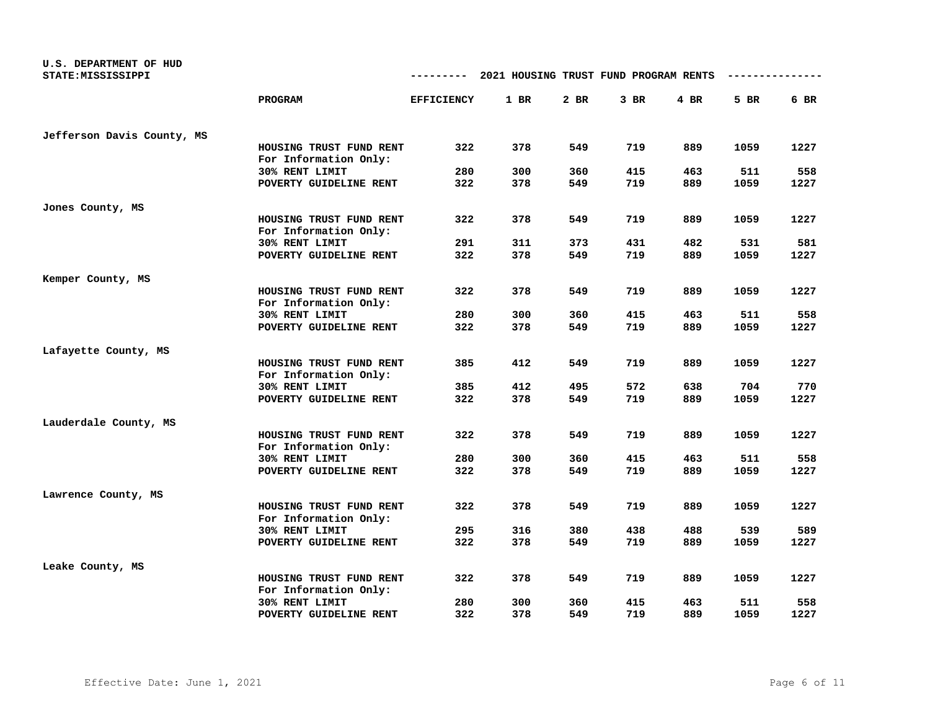| U.S. DEPARTMENT OF HUD<br>STATE: MISSISSIPPI |                                                  | ---------         | 2021 HOUSING TRUST FUND PROGRAM RENTS |      |        |        |      |      |
|----------------------------------------------|--------------------------------------------------|-------------------|---------------------------------------|------|--------|--------|------|------|
|                                              | PROGRAM                                          | <b>EFFICIENCY</b> | 1 BR                                  | 2 BR | $3$ BR | $4$ BR | 5 BR | 6 BR |
| Jefferson Davis County, MS                   |                                                  |                   |                                       |      |        |        |      |      |
|                                              | HOUSING TRUST FUND RENT<br>For Information Only: | 322               | 378                                   | 549  | 719    | 889    | 1059 | 1227 |
|                                              | 30% RENT LIMIT                                   | 280               | 300                                   | 360  | 415    | 463    | 511  | 558  |
|                                              | POVERTY GUIDELINE RENT                           | 322               | 378                                   | 549  | 719    | 889    | 1059 | 1227 |
| Jones County, MS                             |                                                  |                   |                                       |      |        |        |      |      |
|                                              | HOUSING TRUST FUND RENT<br>For Information Only: | 322               | 378                                   | 549  | 719    | 889    | 1059 | 1227 |
|                                              | 30% RENT LIMIT                                   | 291               | 311                                   | 373  | 431    | 482    | 531  | 581  |
|                                              | POVERTY GUIDELINE RENT                           | 322               | 378                                   | 549  | 719    | 889    | 1059 | 1227 |
| Kemper County, MS                            |                                                  |                   |                                       |      |        |        |      |      |
|                                              | HOUSING TRUST FUND RENT<br>For Information Only: | 322               | 378                                   | 549  | 719    | 889    | 1059 | 1227 |
|                                              | 30% RENT LIMIT                                   | 280               | 300                                   | 360  | 415    | 463    | 511  | 558  |
|                                              | POVERTY GUIDELINE RENT                           | 322               | 378                                   | 549  | 719    | 889    | 1059 | 1227 |
| Lafayette County, MS                         |                                                  |                   |                                       |      |        |        |      |      |
|                                              | HOUSING TRUST FUND RENT<br>For Information Only: | 385               | 412                                   | 549  | 719    | 889    | 1059 | 1227 |
|                                              | 30% RENT LIMIT                                   | 385               | 412                                   | 495  | 572    | 638    | 704  | 770  |
|                                              | POVERTY GUIDELINE RENT                           | 322               | 378                                   | 549  | 719    | 889    | 1059 | 1227 |
| Lauderdale County, MS                        |                                                  |                   |                                       |      |        |        |      |      |
|                                              | HOUSING TRUST FUND RENT<br>For Information Only: | 322               | 378                                   | 549  | 719    | 889    | 1059 | 1227 |
|                                              | 30% RENT LIMIT                                   | 280               | 300                                   | 360  | 415    | 463    | 511  | 558  |
|                                              | POVERTY GUIDELINE RENT                           | 322               | 378                                   | 549  | 719    | 889    | 1059 | 1227 |
| Lawrence County, MS                          |                                                  |                   |                                       |      |        |        |      |      |
|                                              | HOUSING TRUST FUND RENT<br>For Information Only: | 322               | 378                                   | 549  | 719    | 889    | 1059 | 1227 |
|                                              | 30% RENT LIMIT                                   | 295               | 316                                   | 380  | 438    | 488    | 539  | 589  |
|                                              | POVERTY GUIDELINE RENT                           | 322               | 378                                   | 549  | 719    | 889    | 1059 | 1227 |
| Leake County, MS                             |                                                  |                   |                                       |      |        |        |      |      |
|                                              | HOUSING TRUST FUND RENT<br>For Information Only: | 322               | 378                                   | 549  | 719    | 889    | 1059 | 1227 |
|                                              | 30% RENT LIMIT                                   | 280               | 300                                   | 360  | 415    | 463    | 511  | 558  |
|                                              | POVERTY GUIDELINE RENT                           | 322               | 378                                   | 549  | 719    | 889    | 1059 | 1227 |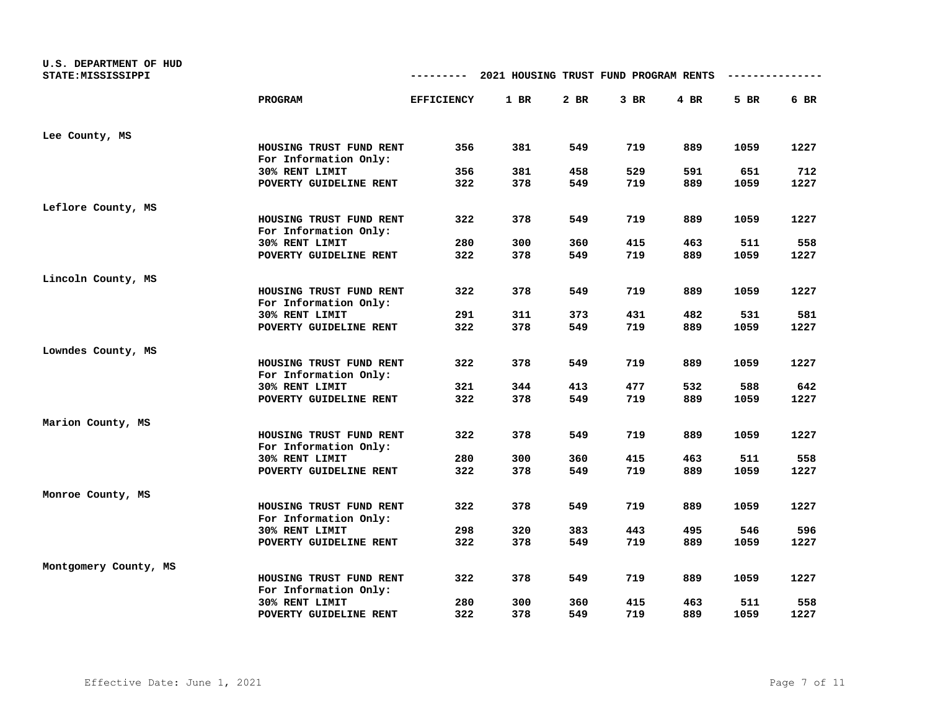| U.S. DEPARTMENT OF HUD<br>STATE: MISSISSIPPI |                                                  |                   | 2021 HOUSING TRUST FUND PROGRAM RENTS |      |        |      |      |      |
|----------------------------------------------|--------------------------------------------------|-------------------|---------------------------------------|------|--------|------|------|------|
|                                              | <b>PROGRAM</b>                                   | <b>EFFICIENCY</b> | $1$ BR                                | 2 BR | $3$ BR | 4 BR | 5 BR | 6 BR |
| Lee County, MS                               |                                                  |                   |                                       |      |        |      |      |      |
|                                              | HOUSING TRUST FUND RENT<br>For Information Only: | 356               | 381                                   | 549  | 719    | 889  | 1059 | 1227 |
|                                              | 30% RENT LIMIT                                   | 356               | 381                                   | 458  | 529    | 591  | 651  | 712  |
|                                              | POVERTY GUIDELINE RENT                           | 322               | 378                                   | 549  | 719    | 889  | 1059 | 1227 |
| Leflore County, MS                           |                                                  |                   |                                       |      |        |      |      |      |
|                                              | HOUSING TRUST FUND RENT<br>For Information Only: | 322               | 378                                   | 549  | 719    | 889  | 1059 | 1227 |
|                                              | 30% RENT LIMIT                                   | 280               | 300                                   | 360  | 415    | 463  | 511  | 558  |
|                                              | POVERTY GUIDELINE RENT                           | 322               | 378                                   | 549  | 719    | 889  | 1059 | 1227 |
| Lincoln County, MS                           |                                                  |                   |                                       |      |        |      |      |      |
|                                              | HOUSING TRUST FUND RENT<br>For Information Only: | 322               | 378                                   | 549  | 719    | 889  | 1059 | 1227 |
|                                              | 30% RENT LIMIT                                   | 291               | 311                                   | 373  | 431    | 482  | 531  | 581  |
|                                              | POVERTY GUIDELINE RENT                           | 322               | 378                                   | 549  | 719    | 889  | 1059 | 1227 |
| Lowndes County, MS                           |                                                  |                   |                                       |      |        |      |      |      |
|                                              | HOUSING TRUST FUND RENT<br>For Information Only: | 322               | 378                                   | 549  | 719    | 889  | 1059 | 1227 |
|                                              | 30% RENT LIMIT                                   | 321               | 344                                   | 413  | 477    | 532  | 588  | 642  |
|                                              | POVERTY GUIDELINE RENT                           | 322               | 378                                   | 549  | 719    | 889  | 1059 | 1227 |
| Marion County, MS                            |                                                  |                   |                                       |      |        |      |      |      |
|                                              | HOUSING TRUST FUND RENT<br>For Information Only: | 322               | 378                                   | 549  | 719    | 889  | 1059 | 1227 |
|                                              | 30% RENT LIMIT                                   | 280               | 300                                   | 360  | 415    | 463  | 511  | 558  |
|                                              | POVERTY GUIDELINE RENT                           | 322               | 378                                   | 549  | 719    | 889  | 1059 | 1227 |
| Monroe County, MS                            |                                                  |                   |                                       |      |        |      |      |      |
|                                              | HOUSING TRUST FUND RENT<br>For Information Only: | 322               | 378                                   | 549  | 719    | 889  | 1059 | 1227 |
|                                              | 30% RENT LIMIT                                   | 298               | 320                                   | 383  | 443    | 495  | 546  | 596  |
|                                              | POVERTY GUIDELINE RENT                           | 322               | 378                                   | 549  | 719    | 889  | 1059 | 1227 |
| Montgomery County, MS                        |                                                  |                   |                                       |      |        |      |      |      |
|                                              | HOUSING TRUST FUND RENT<br>For Information Only: | 322               | 378                                   | 549  | 719    | 889  | 1059 | 1227 |
|                                              | 30% RENT LIMIT                                   | 280               | 300                                   | 360  | 415    | 463  | 511  | 558  |
|                                              | POVERTY GUIDELINE RENT                           | 322               | 378                                   | 549  | 719    | 889  | 1059 | 1227 |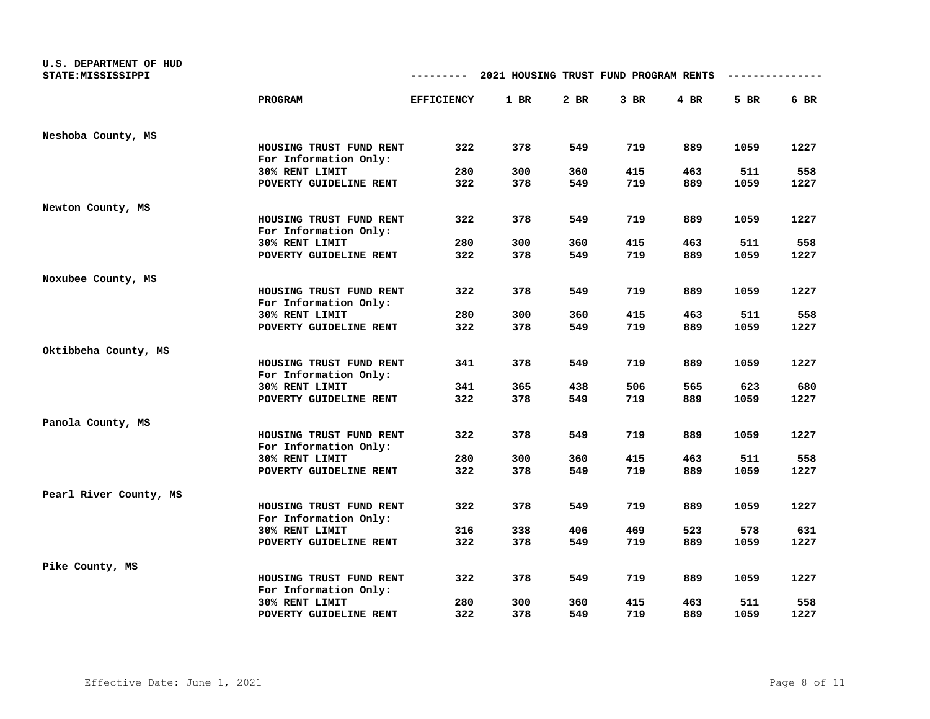| U.S. DEPARTMENT OF HUD |                                                  |                   |                                       |      |        |      |      |      |
|------------------------|--------------------------------------------------|-------------------|---------------------------------------|------|--------|------|------|------|
| STATE: MISSISSIPPI     |                                                  |                   | 2021 HOUSING TRUST FUND PROGRAM RENTS |      |        |      |      |      |
|                        | <b>PROGRAM</b>                                   | <b>EFFICIENCY</b> | $1$ BR                                | 2 BR | $3$ BR | 4 BR | 5 BR | 6 BR |
| Neshoba County, MS     |                                                  |                   |                                       |      |        |      |      |      |
|                        | HOUSING TRUST FUND RENT<br>For Information Only: | 322               | 378                                   | 549  | 719    | 889  | 1059 | 1227 |
|                        | 30% RENT LIMIT                                   | 280               | 300                                   | 360  | 415    | 463  | 511  | 558  |
|                        | POVERTY GUIDELINE RENT                           | 322               | 378                                   | 549  | 719    | 889  | 1059 | 1227 |
| Newton County, MS      |                                                  |                   |                                       |      |        |      |      |      |
|                        | HOUSING TRUST FUND RENT<br>For Information Only: | 322               | 378                                   | 549  | 719    | 889  | 1059 | 1227 |
|                        | 30% RENT LIMIT                                   | 280               | 300                                   | 360  | 415    | 463  | 511  | 558  |
|                        | POVERTY GUIDELINE RENT                           | 322               | 378                                   | 549  | 719    | 889  | 1059 | 1227 |
| Noxubee County, MS     |                                                  |                   |                                       |      |        |      |      |      |
|                        | HOUSING TRUST FUND RENT<br>For Information Only: | 322               | 378                                   | 549  | 719    | 889  | 1059 | 1227 |
|                        | 30% RENT LIMIT                                   | 280               | 300                                   | 360  | 415    | 463  | 511  | 558  |
|                        | POVERTY GUIDELINE RENT                           | 322               | 378                                   | 549  | 719    | 889  | 1059 | 1227 |
| Oktibbeha County, MS   |                                                  |                   |                                       |      |        |      |      |      |
|                        | HOUSING TRUST FUND RENT<br>For Information Only: | 341               | 378                                   | 549  | 719    | 889  | 1059 | 1227 |
|                        | 30% RENT LIMIT                                   | 341               | 365                                   | 438  | 506    | 565  | 623  | 680  |
|                        | POVERTY GUIDELINE RENT                           | 322               | 378                                   | 549  | 719    | 889  | 1059 | 1227 |
| Panola County, MS      |                                                  |                   |                                       |      |        |      |      |      |
|                        | HOUSING TRUST FUND RENT<br>For Information Only: | 322               | 378                                   | 549  | 719    | 889  | 1059 | 1227 |
|                        | 30% RENT LIMIT                                   | 280               | 300                                   | 360  | 415    | 463  | 511  | 558  |
|                        | POVERTY GUIDELINE RENT                           | 322               | 378                                   | 549  | 719    | 889  | 1059 | 1227 |
| Pearl River County, MS |                                                  |                   |                                       |      |        |      |      |      |
|                        | HOUSING TRUST FUND RENT<br>For Information Only: | 322               | 378                                   | 549  | 719    | 889  | 1059 | 1227 |
|                        | 30% RENT LIMIT                                   | 316               | 338                                   | 406  | 469    | 523  | 578  | 631  |
|                        | POVERTY GUIDELINE RENT                           | 322               | 378                                   | 549  | 719    | 889  | 1059 | 1227 |
| Pike County, MS        |                                                  |                   |                                       |      |        |      |      |      |
|                        | HOUSING TRUST FUND RENT<br>For Information Only: | 322               | 378                                   | 549  | 719    | 889  | 1059 | 1227 |
|                        | 30% RENT LIMIT                                   | 280               | 300                                   | 360  | 415    | 463  | 511  | 558  |
|                        | POVERTY GUIDELINE RENT                           | 322               | 378                                   | 549  | 719    | 889  | 1059 | 1227 |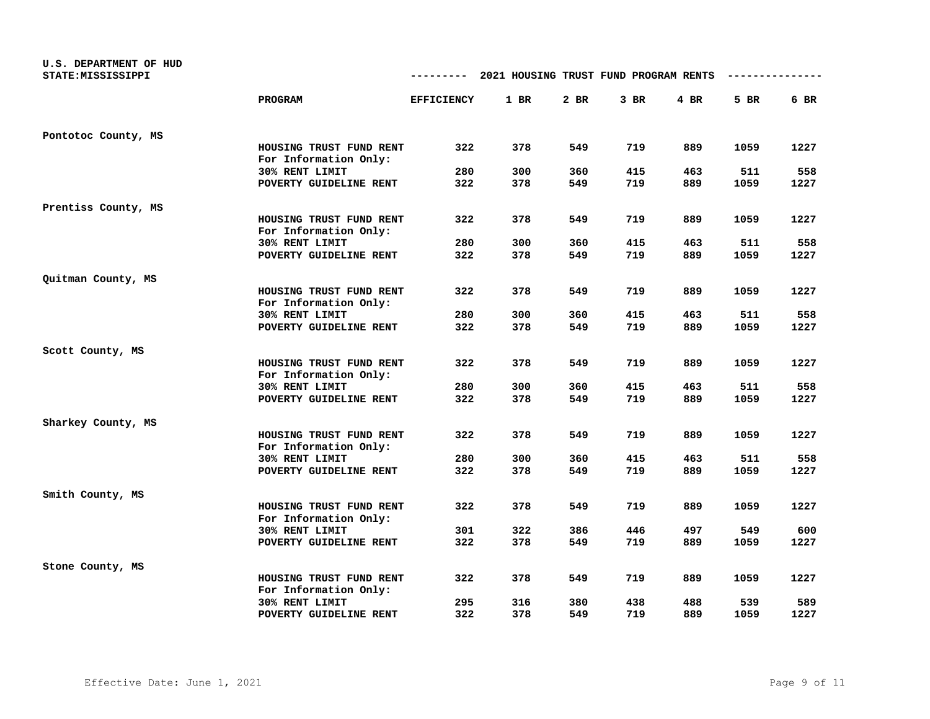| U.S. DEPARTMENT OF HUD<br>STATE: MISSISSIPPI |                                                  | ---------         | 2021 HOUSING TRUST FUND PROGRAM RENTS |      |        |        |      |      |
|----------------------------------------------|--------------------------------------------------|-------------------|---------------------------------------|------|--------|--------|------|------|
|                                              | PROGRAM                                          | <b>EFFICIENCY</b> | 1 BR                                  | 2 BR | $3$ BR | $4$ BR | 5 BR | 6 BR |
| Pontotoc County, MS                          |                                                  |                   |                                       |      |        |        |      |      |
|                                              | HOUSING TRUST FUND RENT<br>For Information Only: | 322               | 378                                   | 549  | 719    | 889    | 1059 | 1227 |
|                                              | 30% RENT LIMIT                                   | 280               | 300                                   | 360  | 415    | 463    | 511  | 558  |
|                                              | POVERTY GUIDELINE RENT                           | 322               | 378                                   | 549  | 719    | 889    | 1059 | 1227 |
| Prentiss County, MS                          |                                                  |                   |                                       |      |        |        |      |      |
|                                              | HOUSING TRUST FUND RENT<br>For Information Only: | 322               | 378                                   | 549  | 719    | 889    | 1059 | 1227 |
|                                              | 30% RENT LIMIT                                   | 280               | 300                                   | 360  | 415    | 463    | 511  | 558  |
|                                              | POVERTY GUIDELINE RENT                           | 322               | 378                                   | 549  | 719    | 889    | 1059 | 1227 |
| Quitman County, MS                           |                                                  |                   |                                       |      |        |        |      |      |
|                                              | HOUSING TRUST FUND RENT<br>For Information Only: | 322               | 378                                   | 549  | 719    | 889    | 1059 | 1227 |
|                                              | 30% RENT LIMIT                                   | 280               | 300                                   | 360  | 415    | 463    | 511  | 558  |
|                                              | POVERTY GUIDELINE RENT                           | 322               | 378                                   | 549  | 719    | 889    | 1059 | 1227 |
| Scott County, MS                             |                                                  |                   |                                       |      |        |        |      |      |
|                                              | HOUSING TRUST FUND RENT<br>For Information Only: | 322               | 378                                   | 549  | 719    | 889    | 1059 | 1227 |
|                                              | 30% RENT LIMIT                                   | 280               | 300                                   | 360  | 415    | 463    | 511  | 558  |
|                                              | POVERTY GUIDELINE RENT                           | 322               | 378                                   | 549  | 719    | 889    | 1059 | 1227 |
| Sharkey County, MS                           |                                                  |                   |                                       |      |        |        |      |      |
|                                              | HOUSING TRUST FUND RENT<br>For Information Only: | 322               | 378                                   | 549  | 719    | 889    | 1059 | 1227 |
|                                              | 30% RENT LIMIT                                   | 280               | 300                                   | 360  | 415    | 463    | 511  | 558  |
|                                              | POVERTY GUIDELINE RENT                           | 322               | 378                                   | 549  | 719    | 889    | 1059 | 1227 |
| Smith County, MS                             |                                                  |                   |                                       |      |        |        |      |      |
|                                              | HOUSING TRUST FUND RENT<br>For Information Only: | 322               | 378                                   | 549  | 719    | 889    | 1059 | 1227 |
|                                              | 30% RENT LIMIT                                   | 301               | 322                                   | 386  | 446    | 497    | 549  | 600  |
|                                              | POVERTY GUIDELINE RENT                           | 322               | 378                                   | 549  | 719    | 889    | 1059 | 1227 |
| Stone County, MS                             |                                                  |                   |                                       |      |        |        |      |      |
|                                              | HOUSING TRUST FUND RENT<br>For Information Only: | 322               | 378                                   | 549  | 719    | 889    | 1059 | 1227 |
|                                              | 30% RENT LIMIT                                   | 295               | 316                                   | 380  | 438    | 488    | 539  | 589  |
|                                              | POVERTY GUIDELINE RENT                           | 322               | 378                                   | 549  | 719    | 889    | 1059 | 1227 |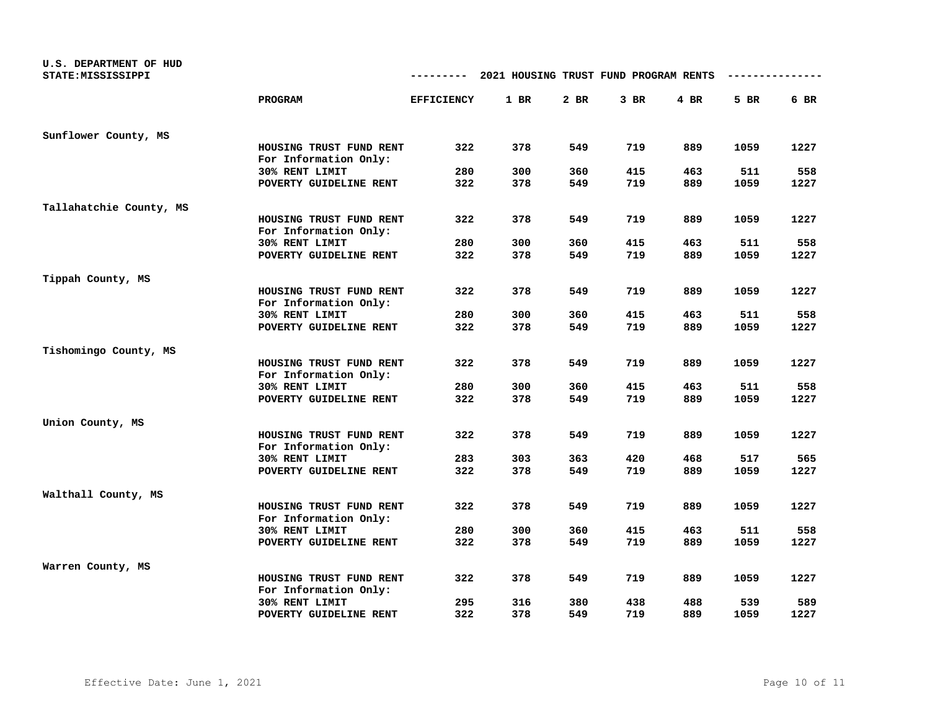| U.S. DEPARTMENT OF HUD<br>STATE: MISSISSIPPI |                                                  | ---------         | 2021 HOUSING TRUST FUND PROGRAM RENTS |      |        |        |      |      |
|----------------------------------------------|--------------------------------------------------|-------------------|---------------------------------------|------|--------|--------|------|------|
|                                              | PROGRAM                                          | <b>EFFICIENCY</b> | 1 BR                                  | 2 BR | $3$ BR | $4$ BR | 5 BR | 6 BR |
| Sunflower County, MS                         |                                                  |                   |                                       |      |        |        |      |      |
|                                              | HOUSING TRUST FUND RENT<br>For Information Only: | 322               | 378                                   | 549  | 719    | 889    | 1059 | 1227 |
|                                              | 30% RENT LIMIT                                   | 280               | 300                                   | 360  | 415    | 463    | 511  | 558  |
|                                              | POVERTY GUIDELINE RENT                           | 322               | 378                                   | 549  | 719    | 889    | 1059 | 1227 |
| Tallahatchie County, MS                      |                                                  |                   |                                       |      |        |        |      |      |
|                                              | HOUSING TRUST FUND RENT<br>For Information Only: | 322               | 378                                   | 549  | 719    | 889    | 1059 | 1227 |
|                                              | 30% RENT LIMIT                                   | 280               | 300                                   | 360  | 415    | 463    | 511  | 558  |
|                                              | POVERTY GUIDELINE RENT                           | 322               | 378                                   | 549  | 719    | 889    | 1059 | 1227 |
| Tippah County, MS                            |                                                  |                   |                                       |      |        |        |      |      |
|                                              | HOUSING TRUST FUND RENT<br>For Information Only: | 322               | 378                                   | 549  | 719    | 889    | 1059 | 1227 |
|                                              | 30% RENT LIMIT                                   | 280               | 300                                   | 360  | 415    | 463    | 511  | 558  |
|                                              | POVERTY GUIDELINE RENT                           | 322               | 378                                   | 549  | 719    | 889    | 1059 | 1227 |
| Tishomingo County, MS                        |                                                  |                   |                                       |      |        |        |      |      |
|                                              | HOUSING TRUST FUND RENT<br>For Information Only: | 322               | 378                                   | 549  | 719    | 889    | 1059 | 1227 |
|                                              | 30% RENT LIMIT                                   | 280               | 300                                   | 360  | 415    | 463    | 511  | 558  |
|                                              | POVERTY GUIDELINE RENT                           | 322               | 378                                   | 549  | 719    | 889    | 1059 | 1227 |
| Union County, MS                             |                                                  |                   |                                       |      |        |        |      |      |
|                                              | HOUSING TRUST FUND RENT<br>For Information Only: | 322               | 378                                   | 549  | 719    | 889    | 1059 | 1227 |
|                                              | 30% RENT LIMIT                                   | 283               | 303                                   | 363  | 420    | 468    | 517  | 565  |
|                                              | POVERTY GUIDELINE RENT                           | 322               | 378                                   | 549  | 719    | 889    | 1059 | 1227 |
| Walthall County, MS                          |                                                  |                   |                                       |      |        |        |      |      |
|                                              | HOUSING TRUST FUND RENT<br>For Information Only: | 322               | 378                                   | 549  | 719    | 889    | 1059 | 1227 |
|                                              | 30% RENT LIMIT                                   | 280               | 300                                   | 360  | 415    | 463    | 511  | 558  |
|                                              | POVERTY GUIDELINE RENT                           | 322               | 378                                   | 549  | 719    | 889    | 1059 | 1227 |
| Warren County, MS                            |                                                  |                   |                                       |      |        |        |      |      |
|                                              | HOUSING TRUST FUND RENT<br>For Information Only: | 322               | 378                                   | 549  | 719    | 889    | 1059 | 1227 |
|                                              | 30% RENT LIMIT                                   | 295               | 316                                   | 380  | 438    | 488    | 539  | 589  |
|                                              | POVERTY GUIDELINE RENT                           | 322               | 378                                   | 549  | 719    | 889    | 1059 | 1227 |